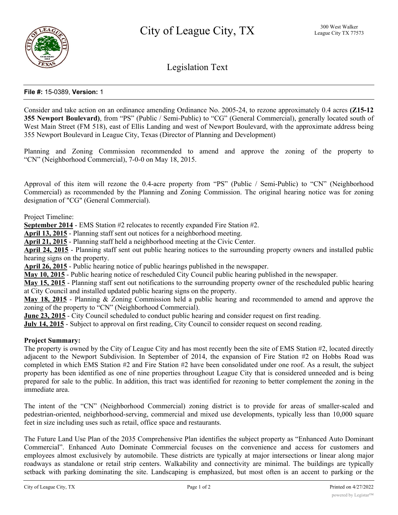

Legislation Text

# **File #:** 15-0389, **Version:** 1

Consider and take action on an ordinance amending Ordinance No. 2005-24, to rezone approximately 0.4 acres **(Z15-12 355 Newport Boulevard)**, from "PS" (Public / Semi-Public) to "CG" (General Commercial), generally located south of West Main Street (FM 518), east of Ellis Landing and west of Newport Boulevard, with the approximate address being 355 Newport Boulevard in League City, Texas (Director of Planning and Development)

Planning and Zoning Commission recommended to amend and approve the zoning of the property to "CN" (Neighborhood Commercial), 7-0-0 on May 18, 2015.

Approval of this item will rezone the 0.4-acre property from "PS" (Public / Semi-Public) to "CN" (Neighborhood Commercial) as recommended by the Planning and Zoning Commission. The original hearing notice was for zoning designation of "CG" (General Commercial).

Project Timeline:

**September 2014** - EMS Station #2 relocates to recently expanded Fire Station #2.

**April 13, 2015** - Planning staff sent out notices for a neighborhood meeting.

**April 21, 2015** - Planning staff held a neighborhood meeting at the Civic Center.

**April 24, 2015** - Planning staff sent out public hearing notices to the surrounding property owners and installed public hearing signs on the property.

**April 26, 2015** - Public hearing notice of public hearings published in the newspaper.

**May 10, 2015** - Public hearing notice of rescheduled City Council public hearing published in the newspaper.

**May 15, 2015** - Planning staff sent out notifications to the surrounding property owner of the rescheduled public hearing at City Council and installed updated public hearing signs on the property.

**May 18, 2015** - Planning & Zoning Commission held a public hearing and recommended to amend and approve the zoning of the property to "CN" (Neighborhood Commercial).

**June 23, 2015** - City Council scheduled to conduct public hearing and consider request on first reading.

**July 14, 2015** - Subject to approval on first reading, City Council to consider request on second reading.

#### **Project Summary:**

The property is owned by the City of League City and has most recently been the site of EMS Station #2, located directly adjacent to the Newport Subdivision. In September of 2014, the expansion of Fire Station #2 on Hobbs Road was completed in which EMS Station #2 and Fire Station #2 have been consolidated under one roof. As a result, the subject property has been identified as one of nine properties throughout League City that is considered unneeded and is being prepared for sale to the public. In addition, this tract was identified for rezoning to better complement the zoning in the immediate area.

The intent of the "CN" (Neighborhood Commercial) zoning district is to provide for areas of smaller-scaled and pedestrian-oriented, neighborhood-serving, commercial and mixed use developments, typically less than 10,000 square feet in size including uses such as retail, office space and restaurants.

The Future Land Use Plan of the 2035 Comprehensive Plan identifies the subject property as "Enhanced Auto Dominant Commercial". Enhanced Auto Dominate Commercial focuses on the convenience and access for customers and employees almost exclusively by automobile. These districts are typically at major intersections or linear along major roadways as standalone or retail strip centers. Walkability and connectivity are minimal. The buildings are typically setback with parking dominating the site. Landscaping is emphasized, but most often is an accent to parking or the